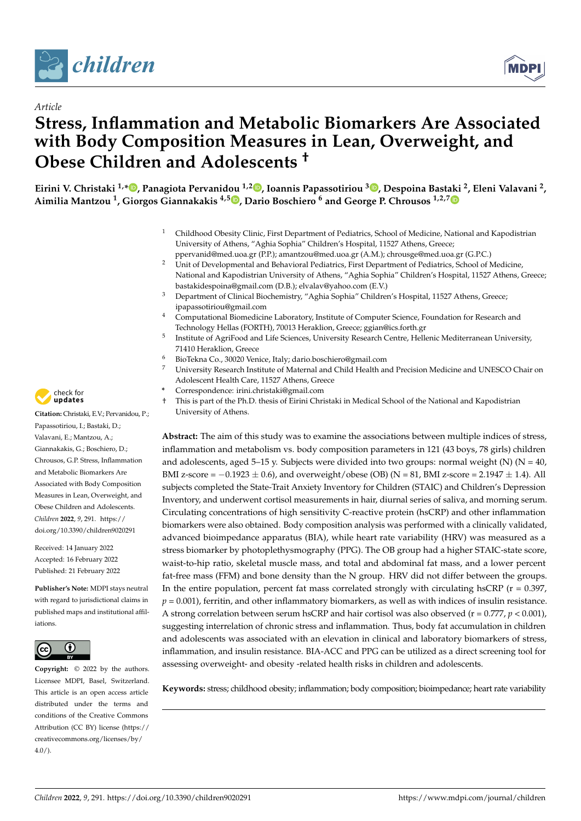

*Article*



# **Stress, Inflammation and Metabolic Biomarkers Are Associated with Body Composition Measures in Lean, Overweight, and Obese Children and Adolescents †**

Eirini V. Christaki <sup>1[,](https://orcid.org/0000-0002-2126-3251)</sup>\*®, Panagiota Pervanidou <sup>1,2</sup>®, Ioannis Papassotiriou <sup>3</sup>®, Despoina Bast[aki](https://orcid.org/0000-0002-3098-5264) <sup>2</sup>, Eleni Valavani <sup>2</sup>, **Aimilia Mantzou <sup>1</sup> , Giorgos Giannakakis 4,5 [,](https://orcid.org/0000-0002-0958-5346) Dario Boschiero <sup>6</sup> and George P. Chrousos 1,2,7**

- <sup>1</sup> Childhood Obesity Clinic, First Department of Pediatrics, School of Medicine, National and Kapodistrian University of Athens, "Aghia Sophia" Children's Hospital, 11527 Athens, Greece;
- ppervanid@med.uoa.gr (P.P.); amantzou@med.uoa.gr (A.M.); chrousge@med.uoa.gr (G.P.C.) <sup>2</sup> Unit of Developmental and Behavioral Pediatrics, First Department of Pediatrics, School of Medicine, National and Kapodistrian University of Athens, "Aghia Sophia" Children's Hospital, 11527 Athens, Greece; bastakidespoina@gmail.com (D.B.); elvalav@yahoo.com (E.V.)
- <sup>3</sup> Department of Clinical Biochemistry, "Aghia Sophia" Children's Hospital, 11527 Athens, Greece; ipapassotiriou@gmail.com
- <sup>4</sup> Computational Biomedicine Laboratory, Institute of Computer Science, Foundation for Research and Technology Hellas (FORTH), 70013 Heraklion, Greece; ggian@ics.forth.gr
- Institute of AgriFood and Life Sciences, University Research Centre, Hellenic Mediterranean University, 71410 Heraklion, Greece
- <sup>6</sup> BioTekna Co., 30020 Venice, Italy; dario.boschiero@gmail.com
- <sup>7</sup> University Research Institute of Maternal and Child Health and Precision Medicine and UNESCO Chair on Adolescent Health Care, 11527 Athens, Greece
- **\*** Correspondence: irini.christaki@gmail.com

5

† This is part of the Ph.D. thesis of Eirini Christaki in Medical School of the National and Kapodistrian University of Athens.

**Abstract:** The aim of this study was to examine the associations between multiple indices of stress, inflammation and metabolism vs. body composition parameters in 121 (43 boys, 78 girls) children and adolescents, aged 5–15 y. Subjects were divided into two groups: normal weight (N) ( $N = 40$ , BMI z-score =  $-0.1923 \pm 0.6$ ), and overweight/obese (OB) (N = 81, BMI z-score = 2.1947  $\pm$  1.4). All subjects completed the State-Trait Anxiety Inventory for Children (STAIC) and Children's Depression Inventory, and underwent cortisol measurements in hair, diurnal series of saliva, and morning serum. Circulating concentrations of high sensitivity C-reactive protein (hsCRP) and other inflammation biomarkers were also obtained. Body composition analysis was performed with a clinically validated, advanced bioimpedance apparatus (BIA), while heart rate variability (HRV) was measured as a stress biomarker by photoplethysmography (PPG). The OB group had a higher STAIC-state score, waist-to-hip ratio, skeletal muscle mass, and total and abdominal fat mass, and a lower percent fat-free mass (FFM) and bone density than the N group. HRV did not differ between the groups. In the entire population, percent fat mass correlated strongly with circulating hsCRP ( $r = 0.397$ ,  $p = 0.001$ ), ferritin, and other inflammatory biomarkers, as well as with indices of insulin resistance. A strong correlation between serum hsCRP and hair cortisol was also observed ( $r = 0.777$ ,  $p < 0.001$ ), suggesting interrelation of chronic stress and inflammation. Thus, body fat accumulation in children and adolescents was associated with an elevation in clinical and laboratory biomarkers of stress, inflammation, and insulin resistance. BIA-ACC and PPG can be utilized as a direct screening tool for assessing overweight- and obesity -related health risks in children and adolescents.

**Keywords:** stress; childhood obesity; inflammation; body composition; bioimpedance; heart rate variability



**Citation:** Christaki, E.V.; Pervanidou, P.; Papassotiriou, I.; Bastaki, D.; Valavani, E.; Mantzou, A.; Giannakakis, G.; Boschiero, D.; Chrousos, G.P. Stress, Inflammation and Metabolic Biomarkers Are Associated with Body Composition Measures in Lean, Overweight, and Obese Children and Adolescents. *Children* **2022**, *9*, 291. [https://](https://doi.org/10.3390/children9020291) [doi.org/10.3390/children9020291](https://doi.org/10.3390/children9020291)

Received: 14 January 2022 Accepted: 16 February 2022 Published: 21 February 2022

**Publisher's Note:** MDPI stays neutral with regard to jurisdictional claims in published maps and institutional affiliations.



**Copyright:** © 2022 by the authors. Licensee MDPI, Basel, Switzerland. This article is an open access article distributed under the terms and conditions of the Creative Commons Attribution (CC BY) license [\(https://](https://creativecommons.org/licenses/by/4.0/) [creativecommons.org/licenses/by/](https://creativecommons.org/licenses/by/4.0/)  $4.0/$ ).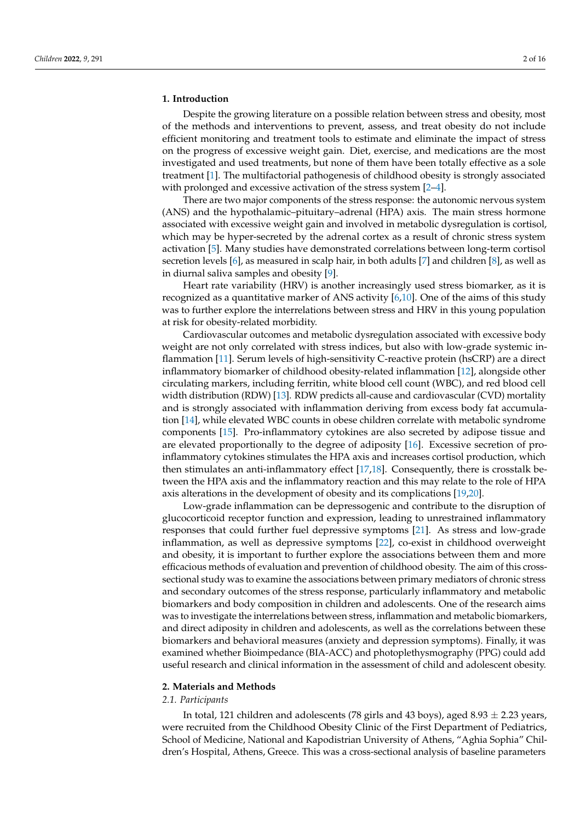# **1. Introduction**

Despite the growing literature on a possible relation between stress and obesity, most of the methods and interventions to prevent, assess, and treat obesity do not include efficient monitoring and treatment tools to estimate and eliminate the impact of stress on the progress of excessive weight gain. Diet, exercise, and medications are the most investigated and used treatments, but none of them have been totally effective as a sole treatment [\[1\]](#page-12-0). The multifactorial pathogenesis of childhood obesity is strongly associated with prolonged and excessive activation of the stress system [\[2–](#page-12-1)[4\]](#page-12-2).

There are two major components of the stress response: the autonomic nervous system (ANS) and the hypothalamic–pituitary–adrenal (HPA) axis. The main stress hormone associated with excessive weight gain and involved in metabolic dysregulation is cortisol, which may be hyper-secreted by the adrenal cortex as a result of chronic stress system activation [\[5\]](#page-12-3). Many studies have demonstrated correlations between long-term cortisol secretion levels [\[6\]](#page-12-4), as measured in scalp hair, in both adults [\[7\]](#page-12-5) and children [\[8\]](#page-12-6), as well as in diurnal saliva samples and obesity [\[9\]](#page-13-0).

Heart rate variability (HRV) is another increasingly used stress biomarker, as it is recognized as a quantitative marker of ANS activity [\[6](#page-12-4)[,10\]](#page-13-1). One of the aims of this study was to further explore the interrelations between stress and HRV in this young population at risk for obesity-related morbidity.

Cardiovascular outcomes and metabolic dysregulation associated with excessive body weight are not only correlated with stress indices, but also with low-grade systemic inflammation [\[11\]](#page-13-2). Serum levels of high-sensitivity C-reactive protein (hsCRP) are a direct inflammatory biomarker of childhood obesity-related inflammation [\[12\]](#page-13-3), alongside other circulating markers, including ferritin, white blood cell count (WBC), and red blood cell width distribution (RDW) [\[13\]](#page-13-4). RDW predicts all-cause and cardiovascular (CVD) mortality and is strongly associated with inflammation deriving from excess body fat accumulation [\[14\]](#page-13-5), while elevated WBC counts in obese children correlate with metabolic syndrome components [\[15\]](#page-13-6). Pro-inflammatory cytokines are also secreted by adipose tissue and are elevated proportionally to the degree of adiposity [\[16\]](#page-13-7). Excessive secretion of proinflammatory cytokines stimulates the HPA axis and increases cortisol production, which then stimulates an anti-inflammatory effect  $[17,18]$  $[17,18]$ . Consequently, there is crosstalk between the HPA axis and the inflammatory reaction and this may relate to the role of HPA axis alterations in the development of obesity and its complications [\[19,](#page-13-10)[20\]](#page-13-11).

Low-grade inflammation can be depressogenic and contribute to the disruption of glucocorticoid receptor function and expression, leading to unrestrained inflammatory responses that could further fuel depressive symptoms [\[21\]](#page-13-12). As stress and low-grade inflammation, as well as depressive symptoms [\[22\]](#page-13-13), co-exist in childhood overweight and obesity, it is important to further explore the associations between them and more efficacious methods of evaluation and prevention of childhood obesity. The aim of this crosssectional study was to examine the associations between primary mediators of chronic stress and secondary outcomes of the stress response, particularly inflammatory and metabolic biomarkers and body composition in children and adolescents. One of the research aims was to investigate the interrelations between stress, inflammation and metabolic biomarkers, and direct adiposity in children and adolescents, as well as the correlations between these biomarkers and behavioral measures (anxiety and depression symptoms). Finally, it was examined whether Bioimpedance (BIA-ACC) and photoplethysmography (PPG) could add useful research and clinical information in the assessment of child and adolescent obesity.

# **2. Materials and Methods**

#### *2.1. Participants*

In total, 121 children and adolescents (78 girls and 43 boys), aged  $8.93 \pm 2.23$  years, were recruited from the Childhood Obesity Clinic of the First Department of Pediatrics, School of Medicine, National and Kapodistrian University of Athens, "Aghia Sophia" Children's Hospital, Athens, Greece. This was a cross-sectional analysis of baseline parameters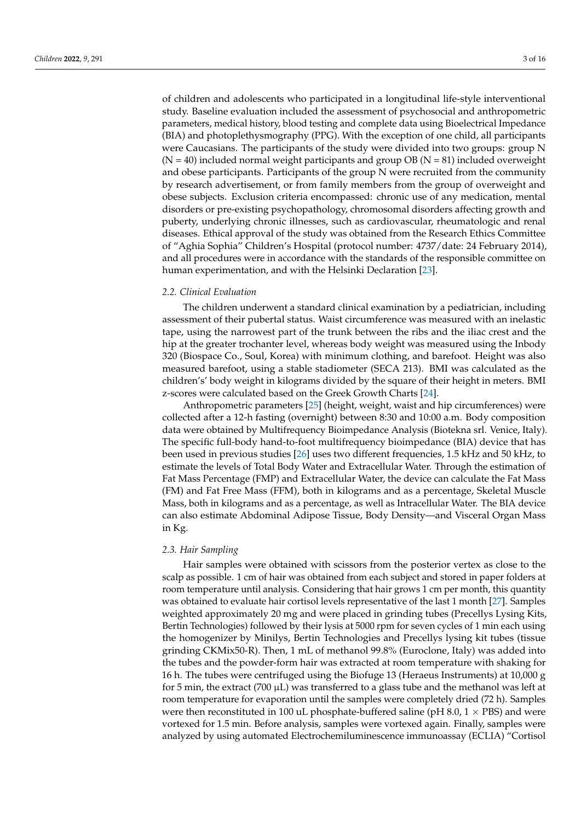of children and adolescents who participated in a longitudinal life-style interventional study. Baseline evaluation included the assessment of psychosocial and anthropometric parameters, medical history, blood testing and complete data using Bioelectrical Impedance (BIA) and photoplethysmography (PPG). With the exception of one child, all participants were Caucasians. The participants of the study were divided into two groups: group N  $(N = 40)$  included normal weight participants and group OB  $(N = 81)$  included overweight and obese participants. Participants of the group N were recruited from the community by research advertisement, or from family members from the group of overweight and obese subjects. Exclusion criteria encompassed: chronic use of any medication, mental disorders or pre-existing psychopathology, chromosomal disorders affecting growth and puberty, underlying chronic illnesses, such as cardiovascular, rheumatologic and renal diseases. Ethical approval of the study was obtained from the Research Ethics Committee of "Aghia Sophia" Children's Hospital (protocol number: 4737/date: 24 February 2014), and all procedures were in accordance with the standards of the responsible committee on human experimentation, and with the Helsinki Declaration [\[23\]](#page-13-14).

# *2.2. Clinical Evaluation*

The children underwent a standard clinical examination by a pediatrician, including assessment of their pubertal status. Waist circumference was measured with an inelastic tape, using the narrowest part of the trunk between the ribs and the iliac crest and the hip at the greater trochanter level, whereas body weight was measured using the Inbody 320 (Biospace Co., Soul, Korea) with minimum clothing, and barefoot. Height was also measured barefoot, using a stable stadiometer (SECA 213). BMI was calculated as the children's' body weight in kilograms divided by the square of their height in meters. BMI z-scores were calculated based on the Greek Growth Charts [\[24\]](#page-13-15).

Anthropometric parameters [\[25\]](#page-13-16) (height, weight, waist and hip circumferences) were collected after a 12-h fasting (overnight) between 8:30 and 10:00 a.m. Body composition data were obtained by Multifrequency Bioimpedance Analysis (Biotekna srl. Venice, Italy). The specific full-body hand-to-foot multifrequency bioimpedance (BIA) device that has been used in previous studies [\[26\]](#page-13-17) uses two different frequencies, 1.5 kHz and 50 kHz, to estimate the levels of Total Body Water and Extracellular Water. Through the estimation of Fat Mass Percentage (FMP) and Extracellular Water, the device can calculate the Fat Mass (FM) and Fat Free Mass (FFM), both in kilograms and as a percentage, Skeletal Muscle Mass, both in kilograms and as a percentage, as well as Intracellular Water. The BIA device can also estimate Abdominal Adipose Tissue, Body Density—and Visceral Organ Mass in Kg.

# *2.3. Hair Sampling*

Hair samples were obtained with scissors from the posterior vertex as close to the scalp as possible. 1 cm of hair was obtained from each subject and stored in paper folders at room temperature until analysis. Considering that hair grows 1 cm per month, this quantity was obtained to evaluate hair cortisol levels representative of the last 1 month [\[27\]](#page-13-18). Samples weighted approximately 20 mg and were placed in grinding tubes (Precellys Lysing Kits, Bertin Technologies) followed by their lysis at 5000 rpm for seven cycles of 1 min each using the homogenizer by Minilys, Bertin Technologies and Precellys lysing kit tubes (tissue grinding CKMix50-R). Then, 1 mL of methanol 99.8% (Euroclone, Italy) was added into the tubes and the powder-form hair was extracted at room temperature with shaking for 16 h. The tubes were centrifuged using the Biofuge 13 (Heraeus Instruments) at 10,000 g for 5 min, the extract (700  $\mu$ L) was transferred to a glass tube and the methanol was left at room temperature for evaporation until the samples were completely dried (72 h). Samples were then reconstituted in 100 uL phosphate-buffered saline (pH 8.0,  $1 \times$  PBS) and were vortexed for 1.5 min. Before analysis, samples were vortexed again. Finally, samples were analyzed by using automated Electrochemiluminescence immunoassay (ECLIA) "Cortisol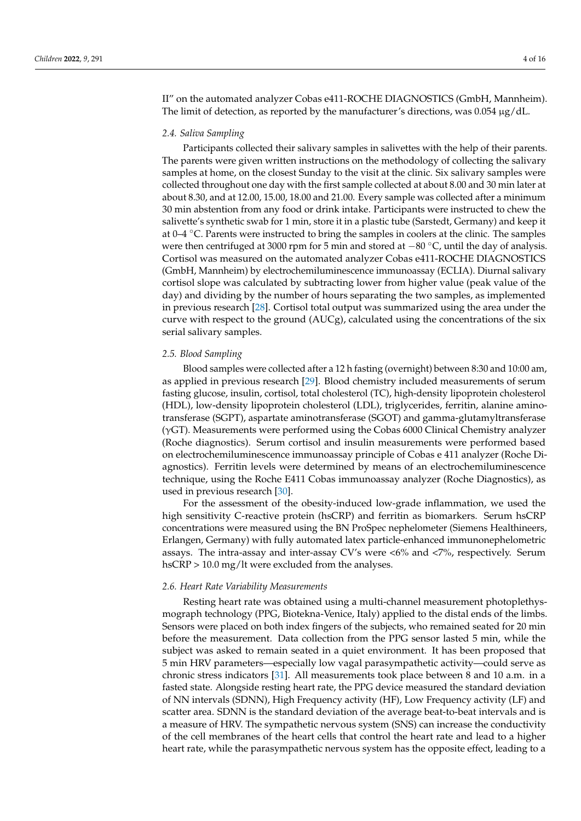II" on the automated analyzer Cobas e411-ROCHE DIAGNOSTICS (GmbH, Mannheim). The limit of detection, as reported by the manufacturer's directions, was  $0.054 \mu g/dL$ .

#### *2.4. Saliva Sampling*

Participants collected their salivary samples in salivettes with the help of their parents. The parents were given written instructions on the methodology of collecting the salivary samples at home, on the closest Sunday to the visit at the clinic. Six salivary samples were collected throughout one day with the first sample collected at about 8.00 and 30 min later at about 8.30, and at 12.00, 15.00, 18.00 and 21.00. Every sample was collected after a minimum 30 min abstention from any food or drink intake. Participants were instructed to chew the salivette's synthetic swab for 1 min, store it in a plastic tube (Sarstedt, Germany) and keep it at 0–4 ◦C. Parents were instructed to bring the samples in coolers at the clinic. The samples were then centrifuged at 3000 rpm for 5 min and stored at −80 °C, until the day of analysis. Cortisol was measured on the automated analyzer Cobas e411-ROCHE DIAGNOSTICS (GmbH, Mannheim) by electrochemiluminescence immunoassay (ECLIA). Diurnal salivary cortisol slope was calculated by subtracting lower from higher value (peak value of the day) and dividing by the number of hours separating the two samples, as implemented in previous research [\[28\]](#page-13-19). Cortisol total output was summarized using the area under the curve with respect to the ground (AUCg), calculated using the concentrations of the six serial salivary samples.

#### *2.5. Blood Sampling*

Blood samples were collected after a 12 h fasting (overnight) between 8:30 and 10:00 am, as applied in previous research [\[29\]](#page-13-20). Blood chemistry included measurements of serum fasting glucose, insulin, cortisol, total cholesterol (TC), high-density lipoprotein cholesterol (HDL), low-density lipoprotein cholesterol (LDL), triglycerides, ferritin, alanine aminotransferase (SGPT), aspartate aminotransferase (SGOT) and gamma-glutamyltransferase (γGT). Measurements were performed using the Cobas 6000 Clinical Chemistry analyzer (Roche diagnostics). Serum cortisol and insulin measurements were performed based on electrochemiluminescence immunoassay principle of Cobas e 411 analyzer (Roche Diagnostics). Ferritin levels were determined by means of an electrochemiluminescence technique, using the Roche E411 Cobas immunoassay analyzer (Roche Diagnostics), as used in previous research [\[30\]](#page-13-21).

For the assessment of the obesity-induced low-grade inflammation, we used the high sensitivity C-reactive protein (hsCRP) and ferritin as biomarkers. Serum hsCRP concentrations were measured using the BN ProSpec nephelometer (Siemens Healthineers, Erlangen, Germany) with fully automated latex particle-enhanced immunonephelometric assays. The intra-assay and inter-assay CV's were <6% and <7%, respectively. Serum hsCRP > 10.0 mg/lt were excluded from the analyses.

#### *2.6. Heart Rate Variability Measurements*

Resting heart rate was obtained using a multi-channel measurement photoplethysmograph technology (PPG, Biotekna-Venice, Italy) applied to the distal ends of the limbs. Sensors were placed on both index fingers of the subjects, who remained seated for 20 min before the measurement. Data collection from the PPG sensor lasted 5 min, while the subject was asked to remain seated in a quiet environment. It has been proposed that 5 min HRV parameters—especially low vagal parasympathetic activity—could serve as chronic stress indicators [\[31\]](#page-13-22). All measurements took place between 8 and 10 a.m. in a fasted state. Alongside resting heart rate, the PPG device measured the standard deviation of NN intervals (SDNN), High Frequency activity (HF), Low Frequency activity (LF) and scatter area. SDNN is the standard deviation of the average beat-to-beat intervals and is a measure of HRV. The sympathetic nervous system (SNS) can increase the conductivity of the cell membranes of the heart cells that control the heart rate and lead to a higher heart rate, while the parasympathetic nervous system has the opposite effect, leading to a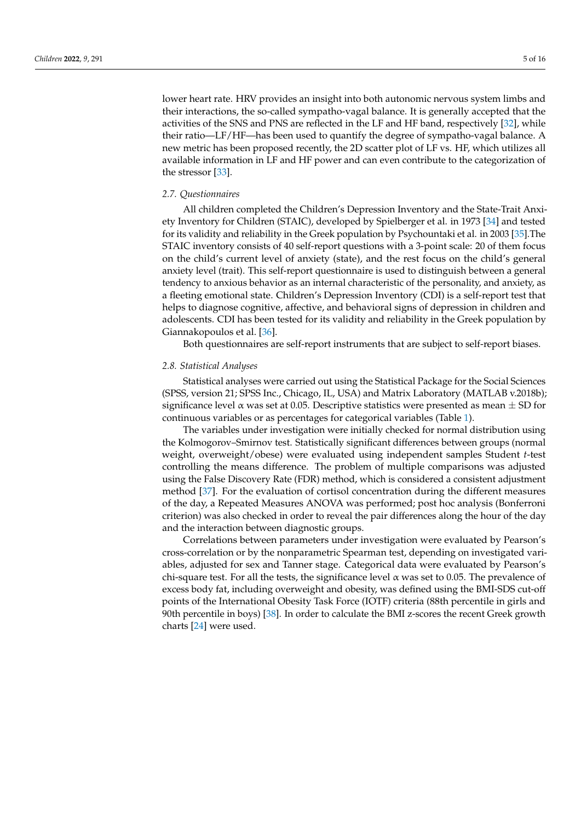lower heart rate. HRV provides an insight into both autonomic nervous system limbs and their interactions, the so-called sympatho-vagal balance. It is generally accepted that the activities of the SNS and PNS are reflected in the LF and HF band, respectively [\[32\]](#page-13-23), while their ratio—LF/HF—has been used to quantify the degree of sympatho-vagal balance. A new metric has been proposed recently, the 2D scatter plot of LF vs. HF, which utilizes all available information in LF and HF power and can even contribute to the categorization of the stressor [\[33\]](#page-13-24).

#### *2.7. Questionnaires*

All children completed the Children's Depression Inventory and the State-Trait Anxiety Inventory for Children (STAIC), developed by Spielberger et al. in 1973 [\[34\]](#page-14-0) and tested for its validity and reliability in the Greek population by Psychountaki et al. in 2003 [\[35\]](#page-14-1).The STAIC inventory consists of 40 self-report questions with a 3-point scale: 20 of them focus on the child's current level of anxiety (state), and the rest focus on the child's general anxiety level (trait). This self-report questionnaire is used to distinguish between a general tendency to anxious behavior as an internal characteristic of the personality, and anxiety, as a fleeting emotional state. Children's Depression Inventory (CDI) is a self-report test that helps to diagnose cognitive, affective, and behavioral signs of depression in children and adolescents. CDI has been tested for its validity and reliability in the Greek population by Giannakopoulos et al. [\[36\]](#page-14-2).

Both questionnaires are self-report instruments that are subject to self-report biases.

#### *2.8. Statistical Analyses*

Statistical analyses were carried out using the Statistical Package for the Social Sciences (SPSS, version 21; SPSS Inc., Chicago, IL, USA) and Matrix Laboratory (MATLAB v.2018b); significance level  $\alpha$  was set at 0.05. Descriptive statistics were presented as mean  $\pm$  SD for continuous variables or as percentages for categorical variables (Table [1\)](#page-5-0).

The variables under investigation were initially checked for normal distribution using the Kolmogorov–Smirnov test. Statistically significant differences between groups (normal weight, overweight/obese) were evaluated using independent samples Student *t*-test controlling the means difference. The problem of multiple comparisons was adjusted using the False Discovery Rate (FDR) method, which is considered a consistent adjustment method [\[37\]](#page-14-3). For the evaluation of cortisol concentration during the different measures of the day, a Repeated Measures ANOVA was performed; post hoc analysis (Bonferroni criterion) was also checked in order to reveal the pair differences along the hour of the day and the interaction between diagnostic groups.

Correlations between parameters under investigation were evaluated by Pearson's cross-correlation or by the nonparametric Spearman test, depending on investigated variables, adjusted for sex and Tanner stage. Categorical data were evaluated by Pearson's chi-square test. For all the tests, the significance level  $\alpha$  was set to 0.05. The prevalence of excess body fat, including overweight and obesity, was defined using the BMI-SDS cut-off points of the International Obesity Task Force (IOTF) criteria (88th percentile in girls and 90th percentile in boys) [\[38\]](#page-14-4). In order to calculate the BMI z-scores the recent Greek growth charts [\[24\]](#page-13-15) were used.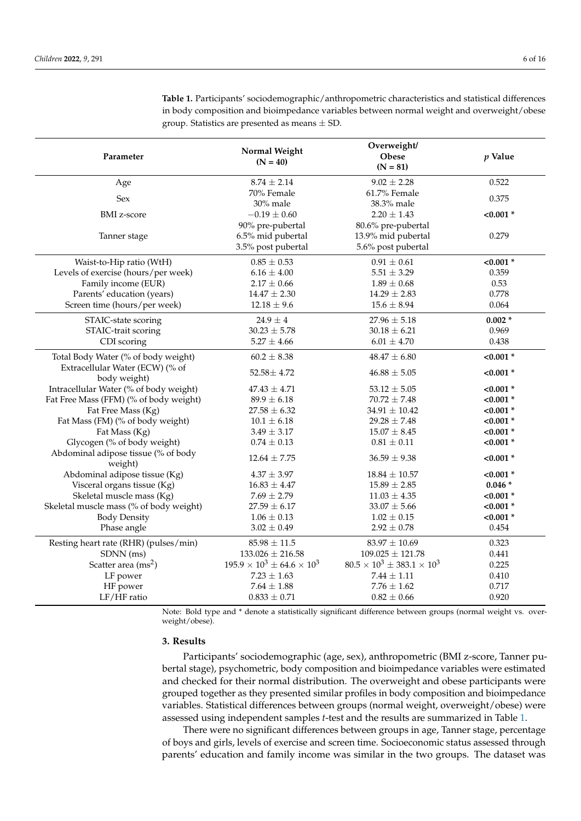| Parameter                                       | Normal Weight<br>$(N = 40)$              | Overweight/<br>Obese<br>$(N = 81)$       | $p$ Value   |
|-------------------------------------------------|------------------------------------------|------------------------------------------|-------------|
| Age                                             | $8.74 \pm 2.14$                          | $9.02 \pm 2.28$                          | 0.522       |
| Sex                                             | 70% Female                               | 61.7% Female                             | 0.375       |
| <b>BMI</b> z-score                              | 30% male<br>$-0.19 \pm 0.60$             | 38.3% male<br>$2.20 \pm 1.43$            | $< 0.001$ * |
|                                                 | 90% pre-pubertal                         | 80.6% pre-pubertal                       |             |
| Tanner stage                                    | 6.5% mid pubertal                        | 13.9% mid pubertal                       | 0.279       |
|                                                 | 3.5% post pubertal                       | 5.6% post pubertal                       |             |
| Waist-to-Hip ratio (WtH)                        | $0.85 \pm 0.53$                          | $0.91 \pm 0.61$                          | $< 0.001$ * |
| Levels of exercise (hours/per week)             | $6.16 \pm 4.00$                          | $5.51 \pm 3.29$                          | 0.359       |
| Family income (EUR)                             | $2.17 \pm 0.66$                          | $1.89 \pm 0.68$                          | 0.53        |
| Parents' education (years)                      | $14.47 \pm 2.30$                         | $14.29 \pm 2.83$                         | 0.778       |
| Screen time (hours/per week)                    | $12.18 \pm 9.6$                          | $15.6 \pm 8.94$                          | 0.064       |
| STAIC-state scoring                             | $24.9 \pm 4$                             | $27.96 \pm 5.18$                         | $0.002*$    |
| STAIC-trait scoring                             | $30.23 \pm 5.78$                         | $30.18 \pm 6.21$                         | 0.969       |
| CDI scoring                                     | $5.27 \pm 4.66$                          | $6.01 \pm 4.70$                          | 0.438       |
| Total Body Water (% of body weight)             | $60.2 \pm 8.38$                          | $48.47 \pm 6.80$                         | $< 0.001$ * |
| Extracellular Water (ECW) (% of<br>body weight) | $52.58 \pm 4.72$                         | $46.88 \pm 5.05$                         | $< 0.001$ * |
| Intracellular Water (% of body weight)          | $47.43 \pm 4.71$                         | $53.12 \pm 5.05$                         | $< 0.001$ * |
| Fat Free Mass (FFM) (% of body weight)          | $89.9 \pm 6.18$                          | $70.72 \pm 7.48$                         | $< 0.001$ * |
| Fat Free Mass (Kg)                              | $27.58 \pm 6.32$                         | $34.91 \pm 10.42$                        | $< 0.001$ * |
| Fat Mass (FM) (% of body weight)                | $10.1 \pm 6.18$                          | $29.28 \pm 7.48$                         | $< 0.001$ * |
| Fat Mass (Kg)                                   | $3.49 \pm 3.17$                          | $15.07 \pm 8.45$                         | $< 0.001$ * |
| Glycogen (% of body weight)                     | $0.74 \pm 0.13$                          | $0.81 \pm 0.11$                          | $< 0.001$ * |
| Abdominal adipose tissue (% of body<br>weight)  | $12.64 \pm 7.75$                         | $36.59 \pm 9.38$                         | $< 0.001$ * |
| Abdominal adipose tissue (Kg)                   | $4.37 \pm 3.97$                          | $18.84 \pm 10.57$                        | $< 0.001$ * |
| Visceral organs tissue (Kg)                     | $16.83 \pm 4.47$                         | $15.89 \pm 2.85$                         | $0.046*$    |
| Skeletal muscle mass (Kg)                       | $7.69 \pm 2.79$                          | $11.03 \pm 4.35$                         | $< 0.001$ * |
| Skeletal muscle mass (% of body weight)         | $27.59 \pm 6.17$                         | $33.07 \pm 5.66$                         | $< 0.001$ * |
| <b>Body Density</b>                             | $1.06 \pm 0.13$                          | $1.02 \pm 0.15$                          | $< 0.001$ * |
| Phase angle                                     | $3.02 \pm 0.49$                          | $2.92 \pm 0.78$                          | 0.454       |
| Resting heart rate (RHR) (pulses/min)           | $85.98 \pm 11.5$                         | $83.97 \pm 10.69$                        | 0.323       |
| SDNN (ms)                                       | $133.026 \pm 216.58$                     | $109.025 \pm 121.78$                     | 0.441       |
| Scatter area $\rm (ms^2)$                       | $195.9 \times 10^3 \pm 64.6 \times 10^3$ | $80.5 \times 10^3 \pm 383.1 \times 10^3$ | 0.225       |
| LF power                                        | $7.23 \pm 1.63$                          | $7.44 \pm 1.11$                          | 0.410       |
| HF power                                        | $7.64\pm1.88$                            | $7.76 \pm 1.62$                          | 0.717       |
| LF/HF ratio                                     | $0.833 \pm 0.71$                         | $0.82 \pm 0.66$                          | 0.920       |

<span id="page-5-0"></span>**Table 1.** Participants' sociodemographic/anthropometric characteristics and statistical differences in body composition and bioimpedance variables between normal weight and overweight/obese group. Statistics are presented as means  $\pm$  SD.

Note: Bold type and \* denote a statistically significant difference between groups (normal weight vs. overweight/obese).

#### **3. Results**

Participants' sociodemographic (age, sex), anthropometric (BMI z-score, Tanner pubertal stage), psychometric, body composition and bioimpedance variables were estimated and checked for their normal distribution. The overweight and obese participants were grouped together as they presented similar profiles in body composition and bioimpedance variables. Statistical differences between groups (normal weight, overweight/obese) were assessed using independent samples *t*-test and the results are summarized in Table [1.](#page-5-0)

There were no significant differences between groups in age, Tanner stage, percentage of boys and girls, levels of exercise and screen time. Socioeconomic status assessed through parents' education and family income was similar in the two groups. The dataset was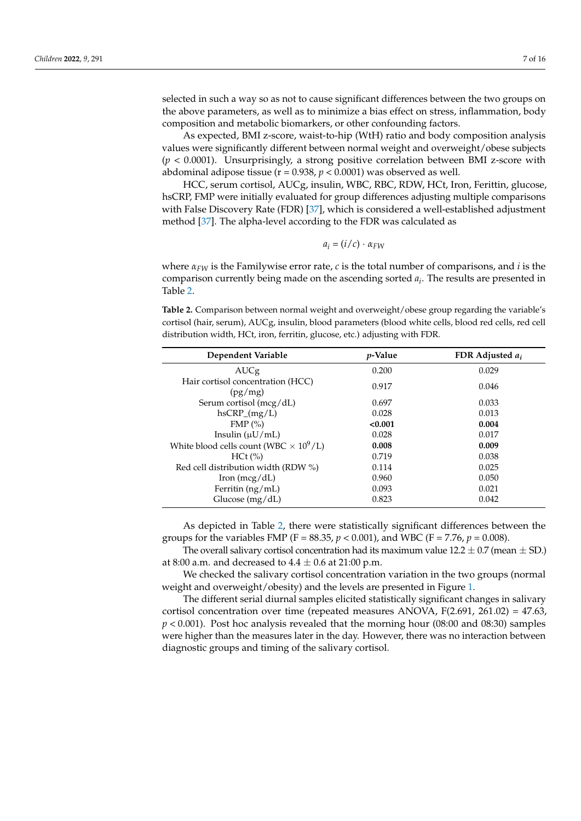selected in such a way so as not to cause significant differences between the two groups on the above parameters, as well as to minimize a bias effect on stress, inflammation, body composition and metabolic biomarkers, or other confounding factors.

As expected, BMI z-score, waist-to-hip (WtH) ratio and body composition analysis values were significantly different between normal weight and overweight/obese subjects (*p* < 0.0001). Unsurprisingly, a strong positive correlation between BMI z-score with abdominal adipose tissue ( $r = 0.938$ ,  $p < 0.0001$ ) was observed as well.

HCC, serum cortisol, AUCg, insulin, WBC, RBC, RDW, HCt, Iron, Ferittin, glucose, hsCRP, FMP were initially evaluated for group differences adjusting multiple comparisons with False Discovery Rate (FDR) [\[37\]](#page-14-3), which is considered a well-established adjustment method [\[37\]](#page-14-3). The alpha-level according to the FDR was calculated as

$$
a_i = (i/c) \cdot \alpha_{FW}
$$

where *αFW* is the Familywise error rate, *c* is the total number of comparisons, and *i* is the comparison currently being made on the ascending sorted *a<sup>i</sup>* . The results are presented in Table [2.](#page-6-0)

<span id="page-6-0"></span>**Table 2.** Comparison between normal weight and overweight/obese group regarding the variable's cortisol (hair, serum), AUCg, insulin, blood parameters (blood white cells, blood red cells, red cell distribution width, HCt, iron, ferritin, glucose, etc.) adjusting with FDR.

| Dependent Variable                                        | <i>p</i> -Value | FDR Adjusted $a_i$ |
|-----------------------------------------------------------|-----------------|--------------------|
| AUCg                                                      | 0.200           | 0.029              |
| Hair cortisol concentration (HCC)<br>(pg/mg)              | 0.917           | 0.046              |
| Serum cortisol (mcg/dL)                                   | 0.697           | 0.033              |
| $h$ s $CRP_{mg/L)$                                        | 0.028           | 0.013              |
| $FMP$ $%$                                                 | < 0.001         | 0.004              |
| Insulin $(\mu U/mL)$                                      | 0.028           | 0.017              |
| White blood cells count (WBC $\times$ 10 <sup>9</sup> /L) | 0.008           | 0.009              |
| $HCt$ $\left(\% \right)$                                  | 0.719           | 0.038              |
| Red cell distribution width (RDW %)                       | 0.114           | 0.025              |
| Iron $(mcg/dL)$                                           | 0.960           | 0.050              |
| Ferritin (ng/mL)                                          | 0.093           | 0.021              |
| Glucose $(mg/dL)$                                         | 0.823           | 0.042              |

As depicted in Table [2,](#page-6-0) there were statistically significant differences between the groups for the variables FMP (F = 88.35,  $p < 0.001$ ), and WBC (F = 7.76,  $p = 0.008$ ).

The overall salivary cortisol concentration had its maximum value  $12.2 \pm 0.7$  (mean  $\pm$  SD.) at 8:00 a.m. and decreased to  $4.4 \pm 0.6$  at 21:00 p.m.

We checked the salivary cortisol concentration variation in the two groups (normal weight and overweight/obesity) and the levels are presented in Figure [1.](#page-7-0)

The different serial diurnal samples elicited statistically significant changes in salivary cortisol concentration over time (repeated measures ANOVA,  $F(2.691, 261.02) = 47.63$ , *p* < 0.001). Post hoc analysis revealed that the morning hour (08:00 and 08:30) samples were higher than the measures later in the day. However, there was no interaction between diagnostic groups and timing of the salivary cortisol.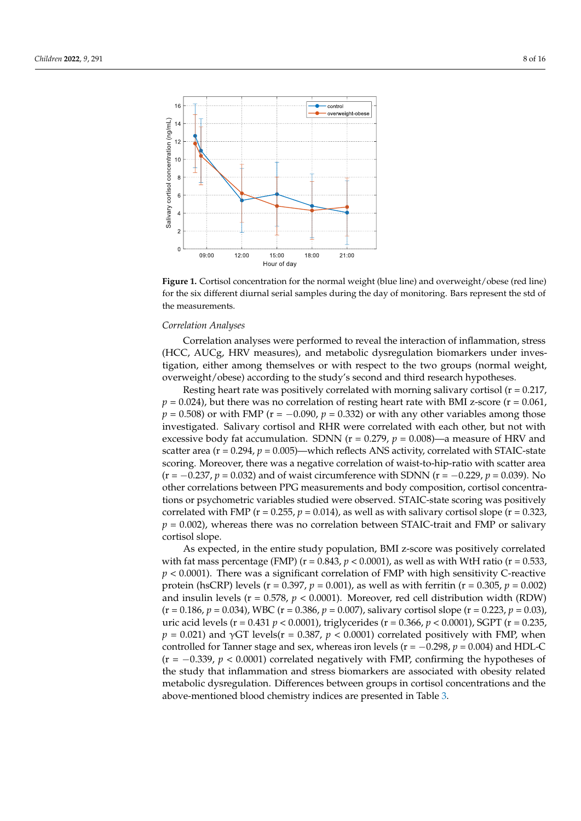<span id="page-7-0"></span>

**Figure 1.** Cortisol concentration for the normal weight (blue line) and overweight/obese (red line) **Figure 1.** Cortisol concentration for the normal weight (blue line) and overweight/obese (red line) for the six different diurnal serial samples during the day of monitoring. Bars represent the std of the measurements. the measurements.

# **Correlation Analyses** elicited statistical statistical statistical statistical statistical statistical significant changes in  $\mathbb{R}^n$

Correlation analyses were performed to reveal the interaction of inflammation, stress (HCC, AUCg, HRV measures), and metabolic dysregulation biomarkers under investigation, either among themselves or with respect to the two groups (normal weight, overweight/obese) according to the study's second and third research hypotheses.

 $p = 0.024$ ), but there was no correlation of resting heart rate with BMI z-score (r =  $0.061$ ,  $p = 0.508$ ) or with FMP (r = −0.090,  $p = 0.332$ ) or with any other variables among those investigated. Salivary cortisol and RHR were correlated with each other, but not with excessive body fat accumulation. SDNN ( $r = 0.279$ ,  $p = 0.008$ )—a measure of HRV and scatter area ( $r = 0.294$ ,  $p = 0.005$ )—which reflects ANS activity, correlated with STAIC-state scoring. Moreover, there was a negative correlation of waist-to-hip-ratio with scatter area  $p = -0.237, p = 0.032$ ) and of waist circumference with SDNN (r = −0.229, *p* = 0.039). No other correlations between PPG measurements and body composition, cortisol concentra-<br>discussed and the correlations and the correlation of the correlation of the correlations and the correlations of the correlations of th tions or psychometric variables studied were observed. STAIC-state scoring was positively correlated with FMP (r = 0.255,  $p = 0.014$ ), as well as with salivary cortisol slope (r = 0.323,  $p = 0.002$ ), whereas there was no correlation between STAIC-trait and FMP or salivary Resting heart rate was positively correlated with morning salivary cortisol  $(r = 0.217)$ , cortisol slope.

scoring. Moreover, there was a negative correlation of waist-to-hip-ratio with scatter area As expected, in the entire study population, BMI z-score was positively correlated with fat mass percentage (FMP) ( $r = 0.843$ ,  $p < 0.0001$ ), as well as with WtH ratio ( $r = 0.533$ ,  $p < 0.0001$ ). There was a significant correlation of FMP with high sensitivity C-reactive protein (hsCRP) levels ( $r = 0.397$ ,  $p = 0.001$ ), as well as with ferritin ( $r = 0.305$ ,  $p = 0.002$ ) and insulin levels ( $r = 0.578$ ,  $p < 0.0001$ ). Moreover, red cell distribution width (RDW) (r = 0.186,  $p = 0.034$ ), WBC (r = 0.386,  $p = 0.007$ ), salivary cortisol slope (r = 0.223,  $p = 0.03$ ), uric acid levels (r = 0.431 *p* < 0.0001), triglycerides (r = 0.366, *p* < 0.0001), SGPT (r = 0.235,  $p = 0.021$ ) and γGT levels(r = 0.387,  $p < 0.0001$ ) correlated positively with FMP, when controlled for Tanner stage and sex, whereas iron levels ( $r = -0.298$ ,  $p = 0.004$ ) and HDL-C  $p = -0.339$ ,  $p < 0.0001$ ) correlated negatively with FMP, confirming the hypotheses of the study that inflammation and stress biomarkers are associated with obesity related metabolic dysregulation. Differences between groups in cortisol concentrations and the above-mentioned blood chemistry indices are presented in Table [3.](#page-8-0) levels (r = 0.431 *p* < 0.0001), triglycerides (r = 0.366, *p* < 0.0001), SGPT (r = 0.235, *p* = 0.021)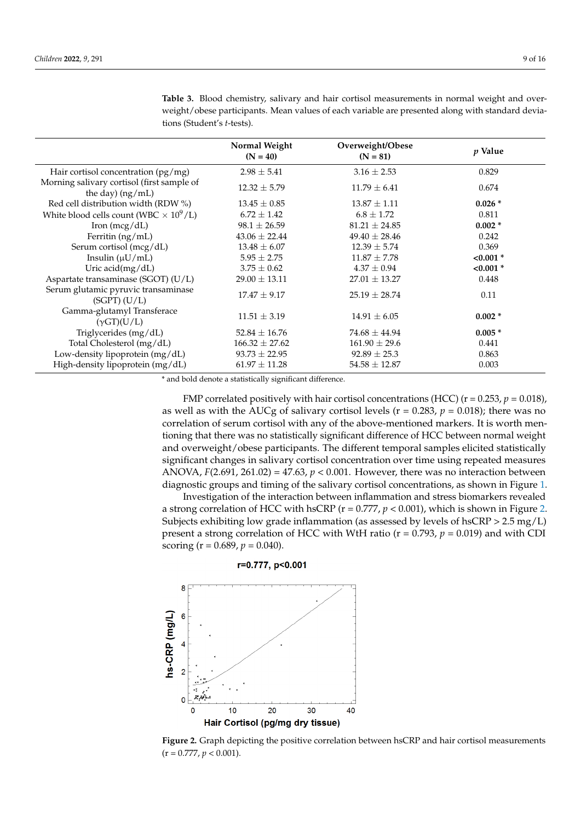|                                                                  | Normal Weight<br>$(N = 40)$ | Overweight/Obese<br>$(N = 81)$ | <i>p</i> Value |
|------------------------------------------------------------------|-----------------------------|--------------------------------|----------------|
| Hair cortisol concentration $(pg/mg)$                            | $2.98 \pm 5.41$             | $3.16 \pm 2.53$                | 0.829          |
| Morning salivary cortisol (first sample of<br>the day) $(ng/mL)$ | $12.32 \pm 5.79$            | $11.79 \pm 6.41$               | 0.674          |
| Red cell distribution width (RDW %)                              | $13.45 \pm 0.85$            | $13.87 \pm 1.11$               | $0.026*$       |
| White blood cells count (WBC $\times$ 10 <sup>9</sup> /L)        | $6.72 \pm 1.42$             | $6.8 \pm 1.72$                 | 0.811          |
| Iron $(mcg/dL)$                                                  | $98.1 \pm 26.59$            | $81.21 \pm 24.85$              | $0.002*$       |
| Ferritin (ng/mL)                                                 | $43.06 \pm 22.44$           | $49.40 \pm 28.46$              | 0.242          |
| Serum cortisol (mcg/dL)                                          | $13.48 \pm 6.07$            | $12.39 \pm 5.74$               | 0.369          |
| Insulin $(\mu U/mL)$                                             | $5.95 \pm 2.75$             | $11.87 \pm 7.78$               | $< 0.001$ *    |
| Uric acid(mg/dL)                                                 | $3.75 \pm 0.62$             | $4.37 \pm 0.94$                | $< 0.001$ *    |
| Aspartate transaminase (SGOT) (U/L)                              | $29.00 \pm 13.11$           | $27.01 \pm 13.27$              | 0.448          |
| Serum glutamic pyruvic transaminase<br>$(SGPT)$ $(U/L)$          | $17.47 \pm 9.17$            | $25.19 \pm 28.74$              | 0.11           |
| Gamma-glutamyl Transferace<br>$(\gamma GT)(U/L)$                 | $11.51 \pm 3.19$            | $14.91 \pm 6.05$               | $0.002 *$      |
| Triglycerides (mg/dL)                                            | $52.84 \pm 16.76$           | $74.68 \pm 44.94$              | $0.005*$       |
| Total Cholesterol (mg/dL)                                        | $166.32 \pm 27.62$          | $161.90 \pm 29.6$              | 0.441          |
| Low-density lipoprotein (mg/dL)                                  | $93.73 \pm 22.95$           | $92.89 \pm 25.3$               | 0.863          |
| High-density lipoprotein (mg/dL)                                 | $61.97 \pm 11.28$           | $54.58 \pm 12.87$              | 0.003          |

<span id="page-8-0"></span>**Table 3.** Blood chemistry, salivary and hair cortisol measurements in normal weight and overweight/obese participants. Mean values of each variable are presented along with standard deviations (Student's *t*-tests).

\* and bold denote a statistically significant difference.

FMP correlated positively with hair cortisol concentrations (HCC) ( $r = 0.253$ ,  $p = 0.018$ ), as well as with the AUCg of salivary cortisol levels ( $r = 0.283$ ,  $p = 0.018$ ); there was no correlation of serum cortisol with any of the above-mentioned markers. It is worth mentioning that there was no statistically significant difference of HCC between normal weight and overweight/obese participants. The different temporal samples elicited statistically significant changes in salivary cortisol concentration over time using repeated measures ANOVA, *F*(2.691, 261.02) = 47.63, *p* < 0.001. However, there was no interaction between diagnostic groups and timing of the salivary cortisol concentrations, as shown in Figure [1.](#page-7-0)

Investigation of the interaction between inflammation and stress biomarkers revealed a strong correlation of HCC with hsCRP (r = 0.777, *p* < 0.001), which is shown in Figure [2.](#page-8-1) Subjects exhibiting low grade inflammation (as assessed by levels of  $hSCRP > 2.5 mg/L$ ) present a strong correlation of HCC with WtH ratio (r = 0.793, *p* = 0.019) and with CDI scoring ( $r = 0.689$ ,  $p = 0.040$ ).



<span id="page-8-1"></span>

. **Figure 2.** Graph depicting the positive correlation between hsCRP and hair cortisol measurements  $F_1 = 0.777, p \times 0.001$ .  $(r = 0.777, p < 0.001).$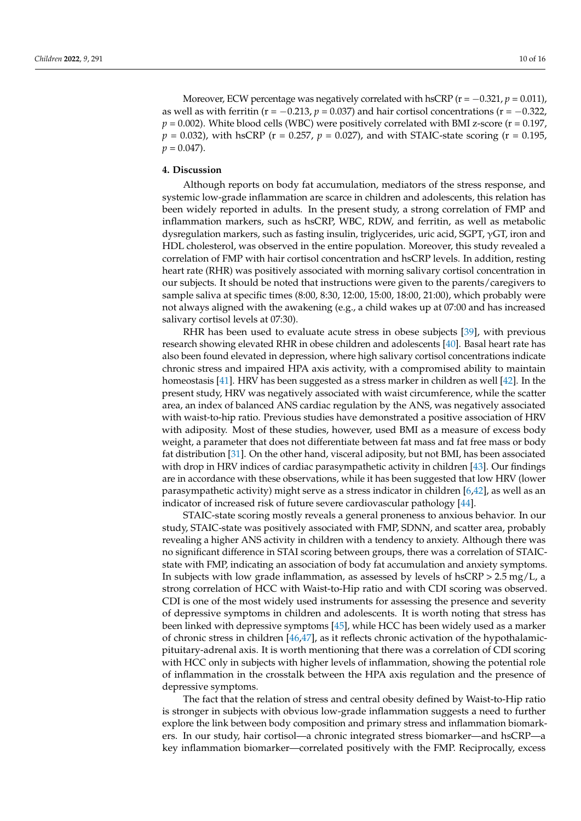Moreover, ECW percentage was negatively correlated with hsCRP ( $r = -0.321$ ,  $p = 0.011$ ), as well as with ferritin ( $r = -0.213$ ,  $p = 0.037$ ) and hair cortisol concentrations ( $r = -0.322$ ,  $p = 0.002$ ). White blood cells (WBC) were positively correlated with BMI z-score ( $r = 0.197$ ,  $p = 0.032$ ), with hsCRP (r = 0.257,  $p = 0.027$ ), and with STAIC-state scoring (r = 0.195,  $p = 0.047$ .

# **4. Discussion**

Although reports on body fat accumulation, mediators of the stress response, and systemic low-grade inflammation are scarce in children and adolescents, this relation has been widely reported in adults. In the present study, a strong correlation of FMP and inflammation markers, such as hsCRP, WBC, RDW, and ferritin, as well as metabolic dysregulation markers, such as fasting insulin, triglycerides, uric acid, SGPT,  $\gamma$ GT, iron and HDL cholesterol, was observed in the entire population. Moreover, this study revealed a correlation of FMP with hair cortisol concentration and hsCRP levels. In addition, resting heart rate (RHR) was positively associated with morning salivary cortisol concentration in our subjects. It should be noted that instructions were given to the parents/caregivers to sample saliva at specific times (8:00, 8:30, 12:00, 15:00, 18:00, 21:00), which probably were not always aligned with the awakening (e.g., a child wakes up at 07:00 and has increased salivary cortisol levels at 07:30).

RHR has been used to evaluate acute stress in obese subjects [\[39\]](#page-14-5), with previous research showing elevated RHR in obese children and adolescents [\[40\]](#page-14-6). Basal heart rate has also been found elevated in depression, where high salivary cortisol concentrations indicate chronic stress and impaired HPA axis activity, with a compromised ability to maintain homeostasis [\[41\]](#page-14-7). HRV has been suggested as a stress marker in children as well [\[42\]](#page-14-8). In the present study, HRV was negatively associated with waist circumference, while the scatter area, an index of balanced ANS cardiac regulation by the ANS, was negatively associated with waist-to-hip ratio. Previous studies have demonstrated a positive association of HRV with adiposity. Most of these studies, however, used BMI as a measure of excess body weight, a parameter that does not differentiate between fat mass and fat free mass or body fat distribution [\[31\]](#page-13-22). On the other hand, visceral adiposity, but not BMI, has been associated with drop in HRV indices of cardiac parasympathetic activity in children [\[43\]](#page-14-9). Our findings are in accordance with these observations, while it has been suggested that low HRV (lower parasympathetic activity) might serve as a stress indicator in children [\[6](#page-12-4)[,42\]](#page-14-8), as well as an indicator of increased risk of future severe cardiovascular pathology [\[44\]](#page-14-10).

STAIC-state scoring mostly reveals a general proneness to anxious behavior. In our study, STAIC-state was positively associated with FMP, SDNN, and scatter area, probably revealing a higher ANS activity in children with a tendency to anxiety. Although there was no significant difference in STAI scoring between groups, there was a correlation of STAICstate with FMP, indicating an association of body fat accumulation and anxiety symptoms. In subjects with low grade inflammation, as assessed by levels of  $h_{SCRP} > 2.5$  mg/L, a strong correlation of HCC with Waist-to-Hip ratio and with CDI scoring was observed. CDI is one of the most widely used instruments for assessing the presence and severity of depressive symptoms in children and adolescents. It is worth noting that stress has been linked with depressive symptoms [\[45\]](#page-14-11), while HCC has been widely used as a marker of chronic stress in children [\[46,](#page-14-12)[47\]](#page-14-13), as it reflects chronic activation of the hypothalamicpituitary-adrenal axis. It is worth mentioning that there was a correlation of CDI scoring with HCC only in subjects with higher levels of inflammation, showing the potential role of inflammation in the crosstalk between the HPA axis regulation and the presence of depressive symptoms.

The fact that the relation of stress and central obesity defined by Waist-to-Hip ratio is stronger in subjects with obvious low-grade inflammation suggests a need to further explore the link between body composition and primary stress and inflammation biomarkers. In our study, hair cortisol—a chronic integrated stress biomarker—and hsCRP—a key inflammation biomarker—correlated positively with the FMP. Reciprocally, excess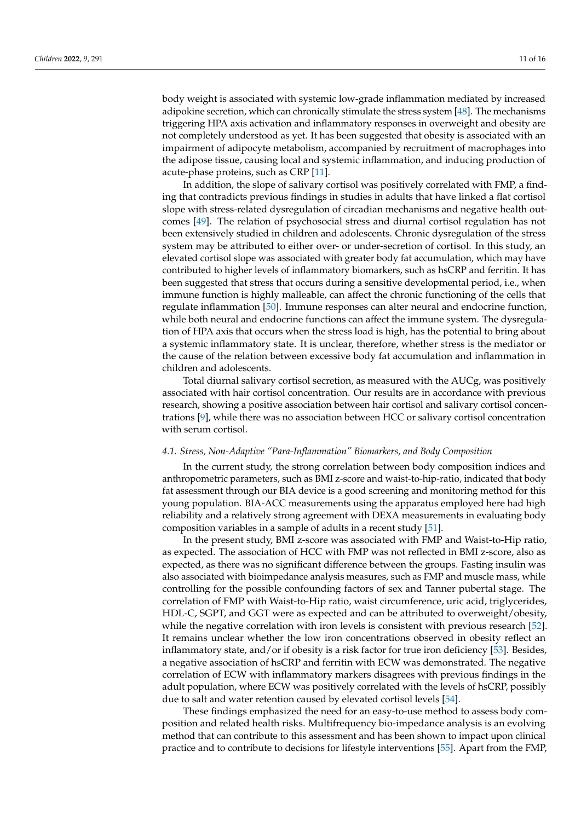body weight is associated with systemic low-grade inflammation mediated by increased adipokine secretion, which can chronically stimulate the stress system [\[48\]](#page-14-14). The mechanisms triggering HPA axis activation and inflammatory responses in overweight and obesity are not completely understood as yet. It has been suggested that obesity is associated with an impairment of adipocyte metabolism, accompanied by recruitment of macrophages into the adipose tissue, causing local and systemic inflammation, and inducing production of acute-phase proteins, such as CRP [\[11\]](#page-13-2).

In addition, the slope of salivary cortisol was positively correlated with FMP, a finding that contradicts previous findings in studies in adults that have linked a flat cortisol slope with stress-related dysregulation of circadian mechanisms and negative health outcomes [\[49\]](#page-14-15). The relation of psychosocial stress and diurnal cortisol regulation has not been extensively studied in children and adolescents. Chronic dysregulation of the stress system may be attributed to either over- or under-secretion of cortisol. In this study, an elevated cortisol slope was associated with greater body fat accumulation, which may have contributed to higher levels of inflammatory biomarkers, such as hsCRP and ferritin. It has been suggested that stress that occurs during a sensitive developmental period, i.e., when immune function is highly malleable, can affect the chronic functioning of the cells that regulate inflammation [\[50\]](#page-14-16). Immune responses can alter neural and endocrine function, while both neural and endocrine functions can affect the immune system. The dysregulation of HPA axis that occurs when the stress load is high, has the potential to bring about a systemic inflammatory state. It is unclear, therefore, whether stress is the mediator or the cause of the relation between excessive body fat accumulation and inflammation in children and adolescents.

Total diurnal salivary cortisol secretion, as measured with the AUCg, was positively associated with hair cortisol concentration. Our results are in accordance with previous research, showing a positive association between hair cortisol and salivary cortisol concentrations [\[9\]](#page-13-0), while there was no association between HCC or salivary cortisol concentration with serum cortisol.

### *4.1. Stress, Non-Adaptive "Para-Inflammation" Biomarkers, and Body Composition*

In the current study, the strong correlation between body composition indices and anthropometric parameters, such as BMI z-score and waist-to-hip-ratio, indicated that body fat assessment through our BIA device is a good screening and monitoring method for this young population. BIA-ACC measurements using the apparatus employed here had high reliability and a relatively strong agreement with DEXA measurements in evaluating body composition variables in a sample of adults in a recent study [\[51\]](#page-14-17).

In the present study, BMI z-score was associated with FMP and Waist-to-Hip ratio, as expected. The association of HCC with FMP was not reflected in BMI z-score, also as expected, as there was no significant difference between the groups. Fasting insulin was also associated with bioimpedance analysis measures, such as FMP and muscle mass, while controlling for the possible confounding factors of sex and Tanner pubertal stage. The correlation of FMP with Waist-to-Hip ratio, waist circumference, uric acid, triglycerides, HDL-C, SGPT, and GGT were as expected and can be attributed to overweight/obesity, while the negative correlation with iron levels is consistent with previous research [\[52\]](#page-14-18). It remains unclear whether the low iron concentrations observed in obesity reflect an inflammatory state, and/or if obesity is a risk factor for true iron deficiency [\[53\]](#page-14-19). Besides, a negative association of hsCRP and ferritin with ECW was demonstrated. The negative correlation of ECW with inflammatory markers disagrees with previous findings in the adult population, where ECW was positively correlated with the levels of hsCRP, possibly due to salt and water retention caused by elevated cortisol levels [\[54\]](#page-14-20).

These findings emphasized the need for an easy-to-use method to assess body composition and related health risks. Multifrequency bio-impedance analysis is an evolving method that can contribute to this assessment and has been shown to impact upon clinical practice and to contribute to decisions for lifestyle interventions [\[55\]](#page-14-21). Apart from the FMP,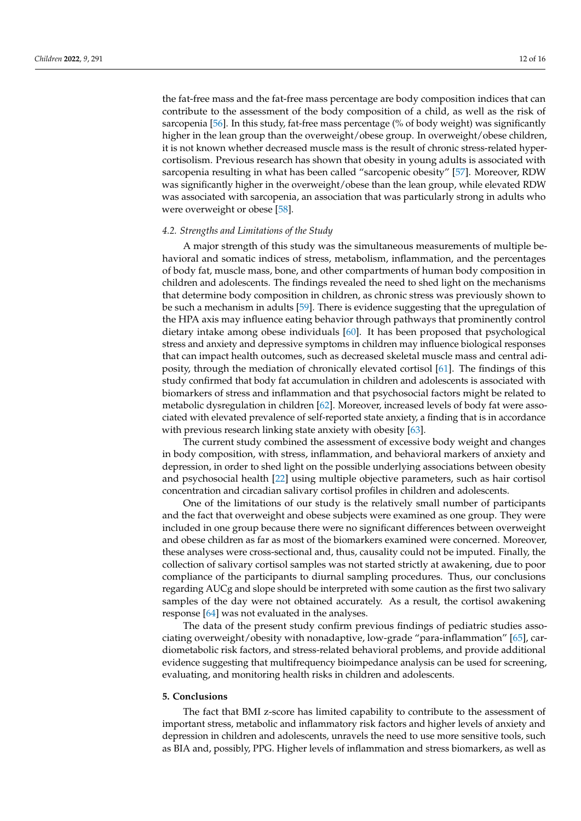the fat-free mass and the fat-free mass percentage are body composition indices that can contribute to the assessment of the body composition of a child, as well as the risk of sarcopenia [\[56\]](#page-14-22). In this study, fat-free mass percentage (% of body weight) was significantly higher in the lean group than the overweight/obese group. In overweight/obese children, it is not known whether decreased muscle mass is the result of chronic stress-related hypercortisolism. Previous research has shown that obesity in young adults is associated with sarcopenia resulting in what has been called "sarcopenic obesity" [\[57\]](#page-14-23). Moreover, RDW was significantly higher in the overweight/obese than the lean group, while elevated RDW was associated with sarcopenia, an association that was particularly strong in adults who were overweight or obese [\[58\]](#page-14-24).

#### *4.2. Strengths and Limitations of the Study*

A major strength of this study was the simultaneous measurements of multiple behavioral and somatic indices of stress, metabolism, inflammation, and the percentages of body fat, muscle mass, bone, and other compartments of human body composition in children and adolescents. The findings revealed the need to shed light on the mechanisms that determine body composition in children, as chronic stress was previously shown to be such a mechanism in adults [\[59\]](#page-14-25). There is evidence suggesting that the upregulation of the HPA axis may influence eating behavior through pathways that prominently control dietary intake among obese individuals [\[60\]](#page-14-26). It has been proposed that psychological stress and anxiety and depressive symptoms in children may influence biological responses that can impact health outcomes, such as decreased skeletal muscle mass and central adiposity, through the mediation of chronically elevated cortisol [\[61\]](#page-15-0). The findings of this study confirmed that body fat accumulation in children and adolescents is associated with biomarkers of stress and inflammation and that psychosocial factors might be related to metabolic dysregulation in children [\[62\]](#page-15-1). Moreover, increased levels of body fat were associated with elevated prevalence of self-reported state anxiety, a finding that is in accordance with previous research linking state anxiety with obesity [\[63\]](#page-15-2).

The current study combined the assessment of excessive body weight and changes in body composition, with stress, inflammation, and behavioral markers of anxiety and depression, in order to shed light on the possible underlying associations between obesity and psychosocial health [\[22\]](#page-13-13) using multiple objective parameters, such as hair cortisol concentration and circadian salivary cortisol profiles in children and adolescents.

One of the limitations of our study is the relatively small number of participants and the fact that overweight and obese subjects were examined as one group. They were included in one group because there were no significant differences between overweight and obese children as far as most of the biomarkers examined were concerned. Moreover, these analyses were cross-sectional and, thus, causality could not be imputed. Finally, the collection of salivary cortisol samples was not started strictly at awakening, due to poor compliance of the participants to diurnal sampling procedures. Thus, our conclusions regarding AUCg and slope should be interpreted with some caution as the first two salivary samples of the day were not obtained accurately. As a result, the cortisol awakening response [\[64\]](#page-15-3) was not evaluated in the analyses.

The data of the present study confirm previous findings of pediatric studies associating overweight/obesity with nonadaptive, low-grade "para-inflammation" [\[65\]](#page-15-4), cardiometabolic risk factors, and stress-related behavioral problems, and provide additional evidence suggesting that multifrequency bioimpedance analysis can be used for screening, evaluating, and monitoring health risks in children and adolescents.

#### **5. Conclusions**

The fact that BMI z-score has limited capability to contribute to the assessment of important stress, metabolic and inflammatory risk factors and higher levels of anxiety and depression in children and adolescents, unravels the need to use more sensitive tools, such as BIA and, possibly, PPG. Higher levels of inflammation and stress biomarkers, as well as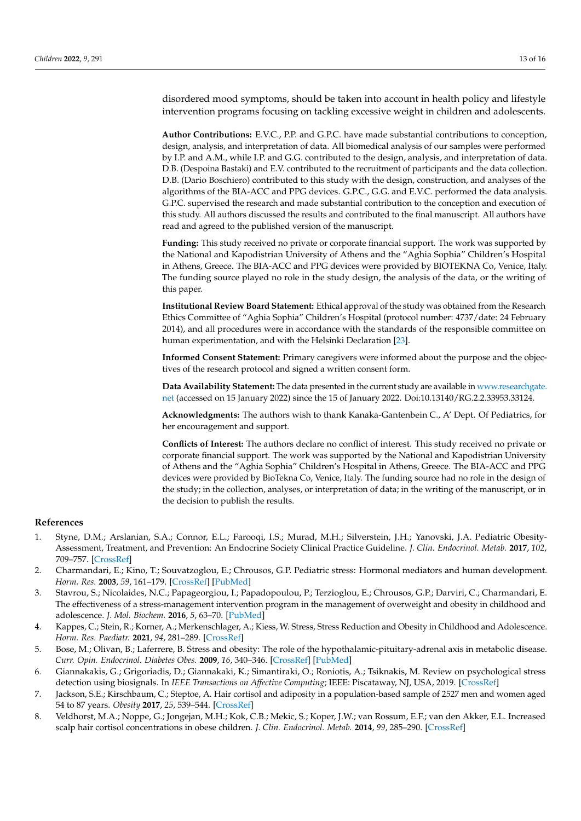disordered mood symptoms, should be taken into account in health policy and lifestyle intervention programs focusing on tackling excessive weight in children and adolescents.

**Author Contributions:** E.V.C., P.P. and G.P.C. have made substantial contributions to conception, design, analysis, and interpretation of data. All biomedical analysis of our samples were performed by I.P. and A.M., while I.P. and G.G. contributed to the design, analysis, and interpretation of data. D.B. (Despoina Bastaki) and E.V. contributed to the recruitment of participants and the data collection. D.B. (Dario Boschiero) contributed to this study with the design, construction, and analyses of the algorithms of the BIA-ACC and PPG devices. G.P.C., G.G. and E.V.C. performed the data analysis. G.P.C. supervised the research and made substantial contribution to the conception and execution of this study. All authors discussed the results and contributed to the final manuscript. All authors have read and agreed to the published version of the manuscript.

**Funding:** This study received no private or corporate financial support. The work was supported by the National and Kapodistrian University of Athens and the "Aghia Sophia" Children's Hospital in Athens, Greece. The BIA-ACC and PPG devices were provided by BIOTEKNA Co, Venice, Italy. The funding source played no role in the study design, the analysis of the data, or the writing of this paper.

**Institutional Review Board Statement:** Ethical approval of the study was obtained from the Research Ethics Committee of "Aghia Sophia" Children's Hospital (protocol number: 4737/date: 24 February 2014), and all procedures were in accordance with the standards of the responsible committee on human experimentation, and with the Helsinki Declaration [\[23\]](#page-13-14).

**Informed Consent Statement:** Primary caregivers were informed about the purpose and the objectives of the research protocol and signed a written consent form.

**Data Availability Statement:** The data presented in the current study are available in [www.researchgate.](www.researchgate.net) [net](www.researchgate.net) (accessed on 15 January 2022) since the 15 of January 2022. Doi:10.13140/RG.2.2.33953.33124.

**Acknowledgments:** The authors wish to thank Kanaka-Gantenbein C., A' Dept. Of Pediatrics, for her encouragement and support.

**Conflicts of Interest:** The authors declare no conflict of interest. This study received no private or corporate financial support. The work was supported by the National and Kapodistrian University of Athens and the "Aghia Sophia" Children's Hospital in Athens, Greece. The BIA-ACC and PPG devices were provided by BioTekna Co, Venice, Italy. The funding source had no role in the design of the study; in the collection, analyses, or interpretation of data; in the writing of the manuscript, or in the decision to publish the results.

# **References**

- <span id="page-12-0"></span>1. Styne, D.M.; Arslanian, S.A.; Connor, E.L.; Farooqi, I.S.; Murad, M.H.; Silverstein, J.H.; Yanovski, J.A. Pediatric Obesity-Assessment, Treatment, and Prevention: An Endocrine Society Clinical Practice Guideline. *J. Clin. Endocrinol. Metab.* **2017**, *102*, 709–757. [\[CrossRef\]](http://doi.org/10.1210/jc.2016-2573)
- <span id="page-12-1"></span>2. Charmandari, E.; Kino, T.; Souvatzoglou, E.; Chrousos, G.P. Pediatric stress: Hormonal mediators and human development. *Horm. Res.* **2003**, *59*, 161–179. [\[CrossRef\]](http://doi.org/10.1159/000069325) [\[PubMed\]](http://www.ncbi.nlm.nih.gov/pubmed/12649570)
- 3. Stavrou, S.; Nicolaides, N.C.; Papageorgiou, I.; Papadopoulou, P.; Terzioglou, E.; Chrousos, G.P.; Darviri, C.; Charmandari, E. The effectiveness of a stress-management intervention program in the management of overweight and obesity in childhood and adolescence. *J. Mol. Biochem.* **2016**, *5*, 63–70. [\[PubMed\]](http://www.ncbi.nlm.nih.gov/pubmed/27570747)
- <span id="page-12-2"></span>4. Kappes, C.; Stein, R.; Korner, A.; Merkenschlager, A.; Kiess, W. Stress, Stress Reduction and Obesity in Childhood and Adolescence. *Horm. Res. Paediatr.* **2021**, *94*, 281–289. [\[CrossRef\]](http://doi.org/10.1159/000519284)
- <span id="page-12-3"></span>5. Bose, M.; Olivan, B.; Laferrere, B. Stress and obesity: The role of the hypothalamic-pituitary-adrenal axis in metabolic disease. *Curr. Opin. Endocrinol. Diabetes Obes.* **2009**, *16*, 340–346. [\[CrossRef\]](http://doi.org/10.1097/MED.0b013e32832fa137) [\[PubMed\]](http://www.ncbi.nlm.nih.gov/pubmed/19584720)
- <span id="page-12-4"></span>6. Giannakakis, G.; Grigoriadis, D.; Giannakaki, K.; Simantiraki, O.; Roniotis, A.; Tsiknakis, M. Review on psychological stress detection using biosignals. In *IEEE Transactions on Affective Computing*; IEEE: Piscataway, NJ, USA, 2019. [\[CrossRef\]](http://doi.org/10.1109/TAFFC.2019.2927337)
- <span id="page-12-5"></span>7. Jackson, S.E.; Kirschbaum, C.; Steptoe, A. Hair cortisol and adiposity in a population-based sample of 2527 men and women aged 54 to 87 years. *Obesity* **2017**, *25*, 539–544. [\[CrossRef\]](http://doi.org/10.1002/oby.21733)
- <span id="page-12-6"></span>8. Veldhorst, M.A.; Noppe, G.; Jongejan, M.H.; Kok, C.B.; Mekic, S.; Koper, J.W.; van Rossum, E.F.; van den Akker, E.L. Increased scalp hair cortisol concentrations in obese children. *J. Clin. Endocrinol. Metab.* **2014**, *99*, 285–290. [\[CrossRef\]](http://doi.org/10.1210/jc.2013-2924)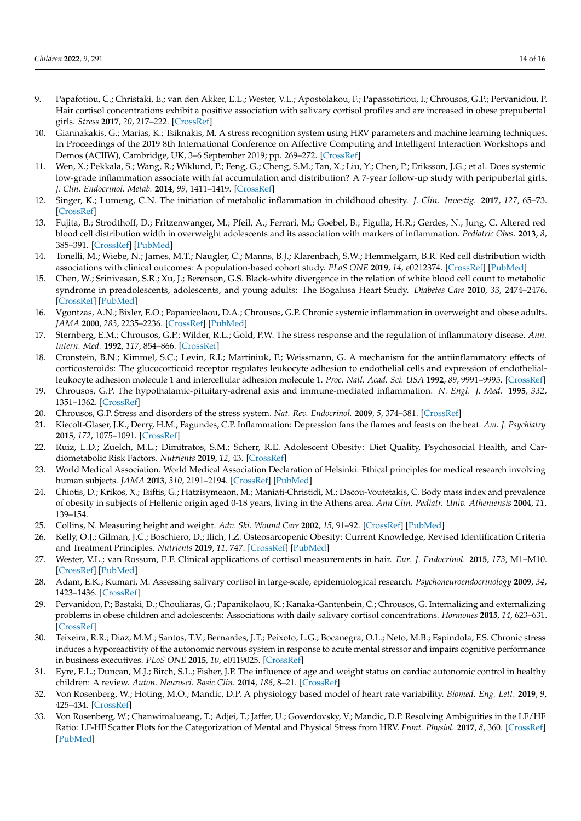- <span id="page-13-0"></span>9. Papafotiou, C.; Christaki, E.; van den Akker, E.L.; Wester, V.L.; Apostolakou, F.; Papassotiriou, I.; Chrousos, G.P.; Pervanidou, P. Hair cortisol concentrations exhibit a positive association with salivary cortisol profiles and are increased in obese prepubertal girls. *Stress* **2017**, *20*, 217–222. [\[CrossRef\]](http://doi.org/10.1080/10253890.2017.1303830)
- <span id="page-13-1"></span>10. Giannakakis, G.; Marias, K.; Tsiknakis, M. A stress recognition system using HRV parameters and machine learning techniques. In Proceedings of the 2019 8th International Conference on Affective Computing and Intelligent Interaction Workshops and Demos (ACIIW), Cambridge, UK, 3–6 September 2019; pp. 269–272. [\[CrossRef\]](http://doi.org/10.1109/ACIIW.2019.8925142)
- <span id="page-13-2"></span>11. Wen, X.; Pekkala, S.; Wang, R.; Wiklund, P.; Feng, G.; Cheng, S.M.; Tan, X.; Liu, Y.; Chen, P.; Eriksson, J.G.; et al. Does systemic low-grade inflammation associate with fat accumulation and distribution? A 7-year follow-up study with peripubertal girls. *J. Clin. Endocrinol. Metab.* **2014**, *99*, 1411–1419. [\[CrossRef\]](http://doi.org/10.1210/jc.2013-3267)
- <span id="page-13-3"></span>12. Singer, K.; Lumeng, C.N. The initiation of metabolic inflammation in childhood obesity. *J. Clin. Investig.* **2017**, *127*, 65–73. [\[CrossRef\]](http://doi.org/10.1172/JCI88882)
- <span id="page-13-4"></span>13. Fujita, B.; Strodthoff, D.; Fritzenwanger, M.; Pfeil, A.; Ferrari, M.; Goebel, B.; Figulla, H.R.; Gerdes, N.; Jung, C. Altered red blood cell distribution width in overweight adolescents and its association with markers of inflammation. *Pediatric Obes.* **2013**, *8*, 385–391. [\[CrossRef\]](http://doi.org/10.1111/j.2047-6310.2012.00111.x) [\[PubMed\]](http://www.ncbi.nlm.nih.gov/pubmed/23239558)
- <span id="page-13-5"></span>14. Tonelli, M.; Wiebe, N.; James, M.T.; Naugler, C.; Manns, B.J.; Klarenbach, S.W.; Hemmelgarn, B.R. Red cell distribution width associations with clinical outcomes: A population-based cohort study. *PLoS ONE* **2019**, *14*, e0212374. [\[CrossRef\]](http://doi.org/10.1371/journal.pone.0212374) [\[PubMed\]](http://www.ncbi.nlm.nih.gov/pubmed/30865651)
- <span id="page-13-6"></span>15. Chen, W.; Srinivasan, S.R.; Xu, J.; Berenson, G.S. Black-white divergence in the relation of white blood cell count to metabolic syndrome in preadolescents, adolescents, and young adults: The Bogalusa Heart Study. *Diabetes Care* **2010**, *33*, 2474–2476. [\[CrossRef\]](http://doi.org/10.2337/dc10-0619) [\[PubMed\]](http://www.ncbi.nlm.nih.gov/pubmed/20798336)
- <span id="page-13-7"></span>16. Vgontzas, A.N.; Bixler, E.O.; Papanicolaou, D.A.; Chrousos, G.P. Chronic systemic inflammation in overweight and obese adults. *JAMA* **2000**, *283*, 2235–2236. [\[CrossRef\]](http://doi.org/10.1001/jama.283.17.2235) [\[PubMed\]](http://www.ncbi.nlm.nih.gov/pubmed/10807374)
- <span id="page-13-8"></span>17. Sternberg, E.M.; Chrousos, G.P.; Wilder, R.L.; Gold, P.W. The stress response and the regulation of inflammatory disease. *Ann. Intern. Med.* **1992**, *117*, 854–866. [\[CrossRef\]](http://doi.org/10.7326/0003-4819-117-10-854)
- <span id="page-13-9"></span>18. Cronstein, B.N.; Kimmel, S.C.; Levin, R.I.; Martiniuk, F.; Weissmann, G. A mechanism for the antiinflammatory effects of corticosteroids: The glucocorticoid receptor regulates leukocyte adhesion to endothelial cells and expression of endothelialleukocyte adhesion molecule 1 and intercellular adhesion molecule 1. *Proc. Natl. Acad. Sci. USA* **1992**, *89*, 9991–9995. [\[CrossRef\]](http://doi.org/10.1073/pnas.89.21.9991)
- <span id="page-13-10"></span>19. Chrousos, G.P. The hypothalamic-pituitary-adrenal axis and immune-mediated inflammation. *N. Engl. J. Med.* **1995**, *332*, 1351–1362. [\[CrossRef\]](http://doi.org/10.1056/NEJM199505183322008)
- <span id="page-13-11"></span>20. Chrousos, G.P. Stress and disorders of the stress system. *Nat. Rev. Endocrinol.* **2009**, *5*, 374–381. [\[CrossRef\]](http://doi.org/10.1038/nrendo.2009.106)
- <span id="page-13-12"></span>21. Kiecolt-Glaser, J.K.; Derry, H.M.; Fagundes, C.P. Inflammation: Depression fans the flames and feasts on the heat. *Am. J. Psychiatry* **2015**, *172*, 1075–1091. [\[CrossRef\]](http://doi.org/10.1176/appi.ajp.2015.15020152)
- <span id="page-13-13"></span>22. Ruiz, L.D.; Zuelch, M.L.; Dimitratos, S.M.; Scherr, R.E. Adolescent Obesity: Diet Quality, Psychosocial Health, and Cardiometabolic Risk Factors. *Nutrients* **2019**, *12*, 43. [\[CrossRef\]](http://doi.org/10.3390/nu12010043)
- <span id="page-13-14"></span>23. World Medical Association. World Medical Association Declaration of Helsinki: Ethical principles for medical research involving human subjects. *JAMA* **2013**, *310*, 2191–2194. [\[CrossRef\]](http://doi.org/10.1001/jama.2013.281053) [\[PubMed\]](http://www.ncbi.nlm.nih.gov/pubmed/24141714)
- <span id="page-13-15"></span>24. Chiotis, D.; Krikos, X.; Tsiftis, G.; Hatzisymeaon, M.; Maniati-Christidi, M.; Dacou-Voutetakis, C. Body mass index and prevalence of obesity in subjects of Hellenic origin aged 0-18 years, living in the Athens area. *Ann Clin. Pediatr. Univ. Atheniensis* **2004**, *11*, 139–154.
- <span id="page-13-16"></span>25. Collins, N. Measuring height and weight. *Adv. Ski. Wound Care* **2002**, *15*, 91–92. [\[CrossRef\]](http://doi.org/10.1097/00129334-200203000-00013) [\[PubMed\]](http://www.ncbi.nlm.nih.gov/pubmed/11984054)
- <span id="page-13-17"></span>26. Kelly, O.J.; Gilman, J.C.; Boschiero, D.; Ilich, J.Z. Osteosarcopenic Obesity: Current Knowledge, Revised Identification Criteria and Treatment Principles. *Nutrients* **2019**, *11*, 747. [\[CrossRef\]](http://doi.org/10.3390/nu11040747) [\[PubMed\]](http://www.ncbi.nlm.nih.gov/pubmed/30935031)
- <span id="page-13-18"></span>27. Wester, V.L.; van Rossum, E.F. Clinical applications of cortisol measurements in hair. *Eur. J. Endocrinol.* **2015**, *173*, M1–M10. [\[CrossRef\]](http://doi.org/10.1530/EJE-15-0313) [\[PubMed\]](http://www.ncbi.nlm.nih.gov/pubmed/25924811)
- <span id="page-13-19"></span>28. Adam, E.K.; Kumari, M. Assessing salivary cortisol in large-scale, epidemiological research. *Psychoneuroendocrinology* **2009**, *34*, 1423–1436. [\[CrossRef\]](http://doi.org/10.1016/j.psyneuen.2009.06.011)
- <span id="page-13-20"></span>29. Pervanidou, P.; Bastaki, D.; Chouliaras, G.; Papanikolaou, K.; Kanaka-Gantenbein, C.; Chrousos, G. Internalizing and externalizing problems in obese children and adolescents: Associations with daily salivary cortisol concentrations. *Hormones* **2015**, *14*, 623–631. [\[CrossRef\]](http://doi.org/10.14310/horm.2002.1602)
- <span id="page-13-21"></span>30. Teixeira, R.R.; Diaz, M.M.; Santos, T.V.; Bernardes, J.T.; Peixoto, L.G.; Bocanegra, O.L.; Neto, M.B.; Espindola, F.S. Chronic stress induces a hyporeactivity of the autonomic nervous system in response to acute mental stressor and impairs cognitive performance in business executives. *PLoS ONE* **2015**, *10*, e0119025. [\[CrossRef\]](http://doi.org/10.1371/journal.pone.0119025)
- <span id="page-13-22"></span>31. Eyre, E.L.; Duncan, M.J.; Birch, S.L.; Fisher, J.P. The influence of age and weight status on cardiac autonomic control in healthy children: A review. *Auton. Neurosci. Basic Clin.* **2014**, *186*, 8–21. [\[CrossRef\]](http://doi.org/10.1016/j.autneu.2014.09.019)
- <span id="page-13-23"></span>32. Von Rosenberg, W.; Hoting, M.O.; Mandic, D.P. A physiology based model of heart rate variability. *Biomed. Eng. Lett.* **2019**, *9*, 425–434. [\[CrossRef\]](http://doi.org/10.1007/s13534-019-00124-w)
- <span id="page-13-24"></span>33. Von Rosenberg, W.; Chanwimalueang, T.; Adjei, T.; Jaffer, U.; Goverdovsky, V.; Mandic, D.P. Resolving Ambiguities in the LF/HF Ratio: LF-HF Scatter Plots for the Categorization of Mental and Physical Stress from HRV. *Front. Physiol.* **2017**, *8*, 360. [\[CrossRef\]](http://doi.org/10.3389/fphys.2017.00360) [\[PubMed\]](http://www.ncbi.nlm.nih.gov/pubmed/28659811)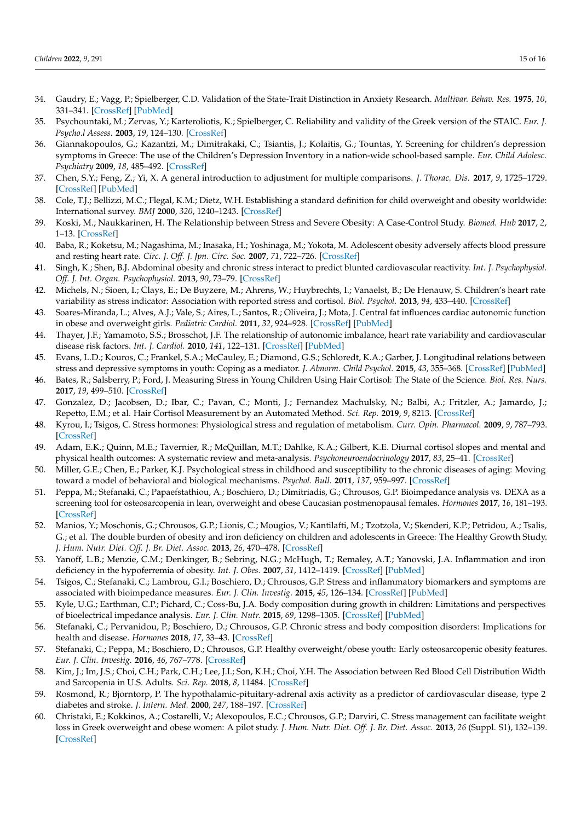- <span id="page-14-0"></span>34. Gaudry, E.; Vagg, P.; Spielberger, C.D. Validation of the State-Trait Distinction in Anxiety Research. *Multivar. Behav. Res.* **1975**, *10*, 331–341. [\[CrossRef\]](http://doi.org/10.1207/s15327906mbr1003_6) [\[PubMed\]](http://www.ncbi.nlm.nih.gov/pubmed/26829634)
- <span id="page-14-1"></span>35. Psychountaki, M.; Zervas, Y.; Karteroliotis, K.; Spielberger, C. Reliability and validity of the Greek version of the STAIC. *Eur. J. Psycho.l Assess.* **2003**, *19*, 124–130. [\[CrossRef\]](http://doi.org/10.1027//1015-5759.19.2.124)
- <span id="page-14-2"></span>36. Giannakopoulos, G.; Kazantzi, M.; Dimitrakaki, C.; Tsiantis, J.; Kolaitis, G.; Tountas, Y. Screening for children's depression symptoms in Greece: The use of the Children's Depression Inventory in a nation-wide school-based sample. *Eur. Child Adolesc. Psychiatry* **2009**, *18*, 485–492. [\[CrossRef\]](http://doi.org/10.1007/s00787-009-0005-z)
- <span id="page-14-3"></span>37. Chen, S.Y.; Feng, Z.; Yi, X. A general introduction to adjustment for multiple comparisons. *J. Thorac. Dis.* **2017**, *9*, 1725–1729. [\[CrossRef\]](http://doi.org/10.21037/jtd.2017.05.34) [\[PubMed\]](http://www.ncbi.nlm.nih.gov/pubmed/28740688)
- <span id="page-14-4"></span>38. Cole, T.J.; Bellizzi, M.C.; Flegal, K.M.; Dietz, W.H. Establishing a standard definition for child overweight and obesity worldwide: International survey. *BMJ* **2000**, *320*, 1240–1243. [\[CrossRef\]](http://doi.org/10.1136/bmj.320.7244.1240)
- <span id="page-14-5"></span>39. Koski, M.; Naukkarinen, H. The Relationship between Stress and Severe Obesity: A Case-Control Study. *Biomed. Hub* **2017**, *2*, 1–13. [\[CrossRef\]](http://doi.org/10.1159/000458771)
- <span id="page-14-6"></span>40. Baba, R.; Koketsu, M.; Nagashima, M.; Inasaka, H.; Yoshinaga, M.; Yokota, M. Adolescent obesity adversely affects blood pressure and resting heart rate. *Circ. J. Off. J. Jpn. Circ. Soc.* **2007**, *71*, 722–726. [\[CrossRef\]](http://doi.org/10.1253/circj.71.722)
- <span id="page-14-7"></span>41. Singh, K.; Shen, B.J. Abdominal obesity and chronic stress interact to predict blunted cardiovascular reactivity. *Int. J. Psychophysiol. Off. J. Int. Organ. Psychophysiol.* **2013**, *90*, 73–79. [\[CrossRef\]](http://doi.org/10.1016/j.ijpsycho.2013.03.010)
- <span id="page-14-8"></span>42. Michels, N.; Sioen, I.; Clays, E.; De Buyzere, M.; Ahrens, W.; Huybrechts, I.; Vanaelst, B.; De Henauw, S. Children's heart rate variability as stress indicator: Association with reported stress and cortisol. *Biol. Psychol.* **2013**, *94*, 433–440. [\[CrossRef\]](http://doi.org/10.1016/j.biopsycho.2013.08.005)
- <span id="page-14-9"></span>43. Soares-Miranda, L.; Alves, A.J.; Vale, S.; Aires, L.; Santos, R.; Oliveira, J.; Mota, J. Central fat influences cardiac autonomic function in obese and overweight girls. *Pediatric Cardiol.* **2011**, *32*, 924–928. [\[CrossRef\]](http://doi.org/10.1007/s00246-011-0015-8) [\[PubMed\]](http://www.ncbi.nlm.nih.gov/pubmed/21638039)
- <span id="page-14-10"></span>44. Thayer, J.F.; Yamamoto, S.S.; Brosschot, J.F. The relationship of autonomic imbalance, heart rate variability and cardiovascular disease risk factors. *Int. J. Cardiol.* **2010**, *141*, 122–131. [\[CrossRef\]](http://doi.org/10.1016/j.ijcard.2009.09.543) [\[PubMed\]](http://www.ncbi.nlm.nih.gov/pubmed/19910061)
- <span id="page-14-11"></span>45. Evans, L.D.; Kouros, C.; Frankel, S.A.; McCauley, E.; Diamond, G.S.; Schloredt, K.A.; Garber, J. Longitudinal relations between stress and depressive symptoms in youth: Coping as a mediator. *J. Abnorm. Child Psychol.* **2015**, *43*, 355–368. [\[CrossRef\]](http://doi.org/10.1007/s10802-014-9906-5) [\[PubMed\]](http://www.ncbi.nlm.nih.gov/pubmed/24993312)
- <span id="page-14-12"></span>46. Bates, R.; Salsberry, P.; Ford, J. Measuring Stress in Young Children Using Hair Cortisol: The State of the Science. *Biol. Res. Nurs.* **2017**, *19*, 499–510. [\[CrossRef\]](http://doi.org/10.1177/1099800417711583)
- <span id="page-14-13"></span>47. Gonzalez, D.; Jacobsen, D.; Ibar, C.; Pavan, C.; Monti, J.; Fernandez Machulsky, N.; Balbi, A.; Fritzler, A.; Jamardo, J.; Repetto, E.M.; et al. Hair Cortisol Measurement by an Automated Method. *Sci. Rep.* **2019**, *9*, 8213. [\[CrossRef\]](http://doi.org/10.1038/s41598-019-44693-3)
- <span id="page-14-14"></span>48. Kyrou, I.; Tsigos, C. Stress hormones: Physiological stress and regulation of metabolism. *Curr. Opin. Pharmacol.* **2009**, *9*, 787–793. [\[CrossRef\]](http://doi.org/10.1016/j.coph.2009.08.007)
- <span id="page-14-15"></span>49. Adam, E.K.; Quinn, M.E.; Tavernier, R.; McQuillan, M.T.; Dahlke, K.A.; Gilbert, K.E. Diurnal cortisol slopes and mental and physical health outcomes: A systematic review and meta-analysis. *Psychoneuroendocrinology* **2017**, *83*, 25–41. [\[CrossRef\]](http://doi.org/10.1016/j.psyneuen.2017.05.018)
- <span id="page-14-16"></span>50. Miller, G.E.; Chen, E.; Parker, K.J. Psychological stress in childhood and susceptibility to the chronic diseases of aging: Moving toward a model of behavioral and biological mechanisms. *Psychol. Bull.* **2011**, *137*, 959–997. [\[CrossRef\]](http://doi.org/10.1037/a0024768)
- <span id="page-14-17"></span>51. Peppa, M.; Stefanaki, C.; Papaefstathiou, A.; Boschiero, D.; Dimitriadis, G.; Chrousos, G.P. Bioimpedance analysis vs. DEXA as a screening tool for osteosarcopenia in lean, overweight and obese Caucasian postmenopausal females. *Hormones* **2017**, *16*, 181–193. [\[CrossRef\]](http://doi.org/10.14310/horm.2002.1732)
- <span id="page-14-18"></span>52. Manios, Y.; Moschonis, G.; Chrousos, G.P.; Lionis, C.; Mougios, V.; Kantilafti, M.; Tzotzola, V.; Skenderi, K.P.; Petridou, A.; Tsalis, G.; et al. The double burden of obesity and iron deficiency on children and adolescents in Greece: The Healthy Growth Study. *J. Hum. Nutr. Diet. Off. J. Br. Diet. Assoc.* **2013**, *26*, 470–478. [\[CrossRef\]](http://doi.org/10.1111/jhn.12025)
- <span id="page-14-19"></span>53. Yanoff, L.B.; Menzie, C.M.; Denkinger, B.; Sebring, N.G.; McHugh, T.; Remaley, A.T.; Yanovski, J.A. Inflammation and iron deficiency in the hypoferremia of obesity. *Int. J. Obes.* **2007**, *31*, 1412–1419. [\[CrossRef\]](http://doi.org/10.1038/sj.ijo.0803625) [\[PubMed\]](http://www.ncbi.nlm.nih.gov/pubmed/17438557)
- <span id="page-14-20"></span>54. Tsigos, C.; Stefanaki, C.; Lambrou, G.I.; Boschiero, D.; Chrousos, G.P. Stress and inflammatory biomarkers and symptoms are associated with bioimpedance measures. *Eur. J. Clin. Investig.* **2015**, *45*, 126–134. [\[CrossRef\]](http://doi.org/10.1111/eci.12388) [\[PubMed\]](http://www.ncbi.nlm.nih.gov/pubmed/25431352)
- <span id="page-14-21"></span>55. Kyle, U.G.; Earthman, C.P.; Pichard, C.; Coss-Bu, J.A. Body composition during growth in children: Limitations and perspectives of bioelectrical impedance analysis. *Eur. J. Clin. Nutr.* **2015**, *69*, 1298–1305. [\[CrossRef\]](http://doi.org/10.1038/ejcn.2015.86) [\[PubMed\]](http://www.ncbi.nlm.nih.gov/pubmed/26039314)
- <span id="page-14-22"></span>56. Stefanaki, C.; Pervanidou, P.; Boschiero, D.; Chrousos, G.P. Chronic stress and body composition disorders: Implications for health and disease. *Hormones* **2018**, *17*, 33–43. [\[CrossRef\]](http://doi.org/10.1007/s42000-018-0023-7)
- <span id="page-14-23"></span>57. Stefanaki, C.; Peppa, M.; Boschiero, D.; Chrousos, G.P. Healthy overweight/obese youth: Early osteosarcopenic obesity features. *Eur. J. Clin. Investig.* **2016**, *46*, 767–778. [\[CrossRef\]](http://doi.org/10.1111/eci.12659)
- <span id="page-14-24"></span>58. Kim, J.; Im, J.S.; Choi, C.H.; Park, C.H.; Lee, J.I.; Son, K.H.; Choi, Y.H. The Association between Red Blood Cell Distribution Width and Sarcopenia in U.S. Adults. *Sci. Rep.* **2018**, *8*, 11484. [\[CrossRef\]](http://doi.org/10.1038/s41598-018-29855-z)
- <span id="page-14-25"></span>59. Rosmond, R.; Bjorntorp, P. The hypothalamic-pituitary-adrenal axis activity as a predictor of cardiovascular disease, type 2 diabetes and stroke. *J. Intern. Med.* **2000**, *247*, 188–197. [\[CrossRef\]](http://doi.org/10.1046/j.1365-2796.2000.00603.x)
- <span id="page-14-26"></span>60. Christaki, E.; Kokkinos, A.; Costarelli, V.; Alexopoulos, E.C.; Chrousos, G.P.; Darviri, C. Stress management can facilitate weight loss in Greek overweight and obese women: A pilot study. *J. Hum. Nutr. Diet. Off. J. Br. Diet. Assoc.* **2013**, *26* (Suppl. S1), 132–139. [\[CrossRef\]](http://doi.org/10.1111/jhn.12086)